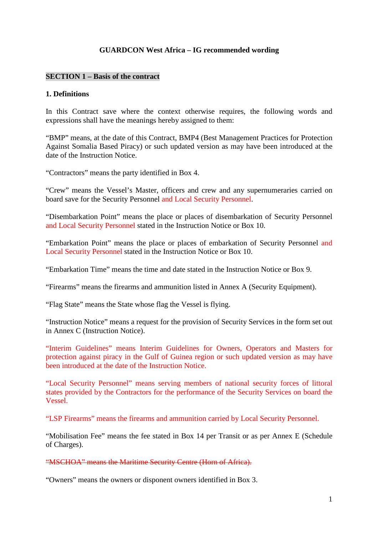### **GUARDCON West Africa – IG recommended wording**

### **SECTION 1 – Basis of the contract**

### **1. Definitions**

In this Contract save where the context otherwise requires, the following words and expressions shall have the meanings hereby assigned to them:

"BMP" means, at the date of this Contract, BMP4 (Best Management Practices for Protection Against Somalia Based Piracy) or such updated version as may have been introduced at the date of the Instruction Notice.

"Contractors" means the party identified in Box 4.

"Crew" means the Vessel's Master, officers and crew and any supernumeraries carried on board save for the Security Personnel and Local Security Personnel.

"Disembarkation Point" means the place or places of disembarkation of Security Personnel and Local Security Personnel stated in the Instruction Notice or Box 10.

"Embarkation Point" means the place or places of embarkation of Security Personnel and Local Security Personnel stated in the Instruction Notice or Box 10.

"Embarkation Time" means the time and date stated in the Instruction Notice or Box 9.

"Firearms" means the firearms and ammunition listed in Annex A (Security Equipment).

"Flag State" means the State whose flag the Vessel is flying.

"Instruction Notice" means a request for the provision of Security Services in the form set out in Annex C (Instruction Notice).

"Interim Guidelines" means Interim Guidelines for Owners, Operators and Masters for protection against piracy in the Gulf of Guinea region or such updated version as may have been introduced at the date of the Instruction Notice.

"Local Security Personnel" means serving members of national security forces of littoral states provided by the Contractors for the performance of the Security Services on board the Vessel.

"LSP Firearms" means the firearms and ammunition carried by Local Security Personnel.

"Mobilisation Fee" means the fee stated in Box 14 per Transit or as per Annex E (Schedule of Charges).

"MSCHOA" means the Maritime Security Centre (Horn of Africa).

"Owners" means the owners or disponent owners identified in Box 3.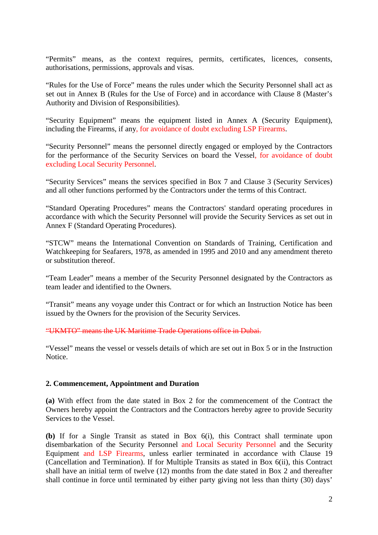"Permits" means, as the context requires, permits, certificates, licences, consents, authorisations, permissions, approvals and visas.

"Rules for the Use of Force" means the rules under which the Security Personnel shall act as set out in Annex B (Rules for the Use of Force) and in accordance with Clause 8 (Master's Authority and Division of Responsibilities).

"Security Equipment" means the equipment listed in Annex A (Security Equipment), including the Firearms, if any, for avoidance of doubt excluding LSP Firearms.

"Security Personnel" means the personnel directly engaged or employed by the Contractors for the performance of the Security Services on board the Vessel, for avoidance of doubt excluding Local Security Personnel.

"Security Services" means the services specified in Box 7 and Clause 3 (Security Services) and all other functions performed by the Contractors under the terms of this Contract.

"Standard Operating Procedures" means the Contractors' standard operating procedures in accordance with which the Security Personnel will provide the Security Services as set out in Annex F (Standard Operating Procedures).

"STCW" means the International Convention on Standards of Training, Certification and Watchkeeping for Seafarers, 1978, as amended in 1995 and 2010 and any amendment thereto or substitution thereof.

"Team Leader" means a member of the Security Personnel designated by the Contractors as team leader and identified to the Owners.

"Transit" means any voyage under this Contract or for which an Instruction Notice has been issued by the Owners for the provision of the Security Services.

"UKMTO" means the UK Maritime Trade Operations office in Dubai.

"Vessel" means the vessel or vessels details of which are set out in Box 5 or in the Instruction Notice.

#### **2. Commencement, Appointment and Duration**

**(a)** With effect from the date stated in Box 2 for the commencement of the Contract the Owners hereby appoint the Contractors and the Contractors hereby agree to provide Security Services to the Vessel.

**(b)** If for a Single Transit as stated in Box 6(i), this Contract shall terminate upon disembarkation of the Security Personnel and Local Security Personnel and the Security Equipment and LSP Firearms, unless earlier terminated in accordance with Clause 19 (Cancellation and Termination). If for Multiple Transits as stated in Box 6(ii), this Contract shall have an initial term of twelve (12) months from the date stated in Box 2 and thereafter shall continue in force until terminated by either party giving not less than thirty (30) days'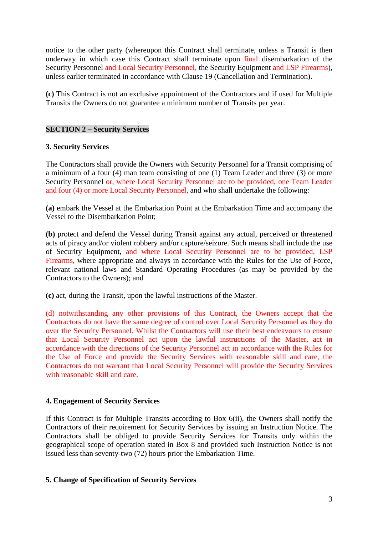notice to the other party (whereupon this Contract shall terminate, unless a Transit is then underway in which case this Contract shall terminate upon final disembarkation of the Security Personnel and Local Security Personnel, the Security Equipment and LSP Firearms), unless earlier terminated in accordance with Clause 19 (Cancellation and Termination).

**(c)** This Contract is not an exclusive appointment of the Contractors and if used for Multiple Transits the Owners do not guarantee a minimum number of Transits per year.

### **SECTION 2 – Security Services**

### **3. Security Services**

The Contractors shall provide the Owners with Security Personnel for a Transit comprising of a minimum of a four (4) man team consisting of one (1) Team Leader and three (3) or more Security Personnel or, where Local Security Personnel are to be provided, one Team Leader and four (4) or more Local Security Personnel, and who shall undertake the following:

**(a)** embark the Vessel at the Embarkation Point at the Embarkation Time and accompany the Vessel to the Disembarkation Point;

**(b)** protect and defend the Vessel during Transit against any actual, perceived or threatened acts of piracy and/or violent robbery and/or capture/seizure. Such means shall include the use of Security Equipment, and where Local Security Personnel are to be provided, LSP Firearms, where appropriate and always in accordance with the Rules for the Use of Force, relevant national laws and Standard Operating Procedures (as may be provided by the Contractors to the Owners); and

**(c)** act, during the Transit, upon the lawful instructions of the Master.

(d) notwithstanding any other provisions of this Contract, the Owners accept that the Contractors do not have the same degree of control over Local Security Personnel as they do over the Security Personnel. Whilst the Contractors will use their best endeavours to ensure that Local Security Personnel act upon the lawful instructions of the Master, act in accordance with the directions of the Security Personnel act in accordance with the Rules for the Use of Force and provide the Security Services with reasonable skill and care, the Contractors do not warrant that Local Security Personnel will provide the Security Services with reasonable skill and care.

### **4. Engagement of Security Services**

If this Contract is for Multiple Transits according to Box 6(ii), the Owners shall notify the Contractors of their requirement for Security Services by issuing an Instruction Notice. The Contractors shall be obliged to provide Security Services for Transits only within the geographical scope of operation stated in Box 8 and provided such Instruction Notice is not issued less than seventy-two (72) hours prior the Embarkation Time.

## **5. Change of Specification of Security Services**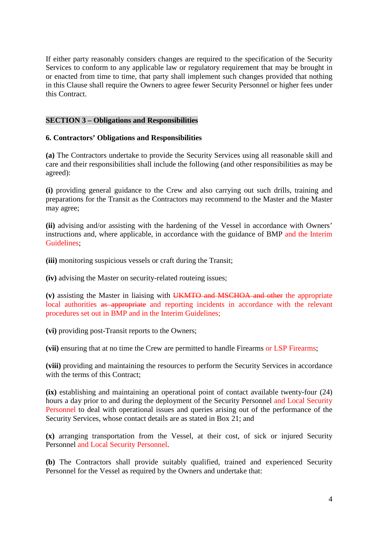If either party reasonably considers changes are required to the specification of the Security Services to conform to any applicable law or regulatory requirement that may be brought in or enacted from time to time, that party shall implement such changes provided that nothing in this Clause shall require the Owners to agree fewer Security Personnel or higher fees under this Contract.

## **SECTION 3 – Obligations and Responsibilities**

### **6. Contractors' Obligations and Responsibilities**

**(a)** The Contractors undertake to provide the Security Services using all reasonable skill and care and their responsibilities shall include the following (and other responsibilities as may be agreed):

**(i)** providing general guidance to the Crew and also carrying out such drills, training and preparations for the Transit as the Contractors may recommend to the Master and the Master may agree;

**(ii)** advising and/or assisting with the hardening of the Vessel in accordance with Owners' instructions and, where applicable, in accordance with the guidance of BMP and the Interim Guidelines;

**(iii)** monitoring suspicious vessels or craft during the Transit;

**(iv)** advising the Master on security-related routeing issues;

**(v)** assisting the Master in liaising with UKMTO and MSCHOA and other the appropriate local authorities as appropriate and reporting incidents in accordance with the relevant procedures set out in BMP and in the Interim Guidelines;

**(vi)** providing post-Transit reports to the Owners;

(vii) ensuring that at no time the Crew are permitted to handle Firearms or LSP Firearms;

**(viii)** providing and maintaining the resources to perform the Security Services in accordance with the terms of this Contract:

**(ix)** establishing and maintaining an operational point of contact available twenty-four (24) hours a day prior to and during the deployment of the Security Personnel and Local Security Personnel to deal with operational issues and queries arising out of the performance of the Security Services, whose contact details are as stated in Box 21; and

**(x)** arranging transportation from the Vessel, at their cost, of sick or injured Security Personnel and Local Security Personnel.

**(b)** The Contractors shall provide suitably qualified, trained and experienced Security Personnel for the Vessel as required by the Owners and undertake that: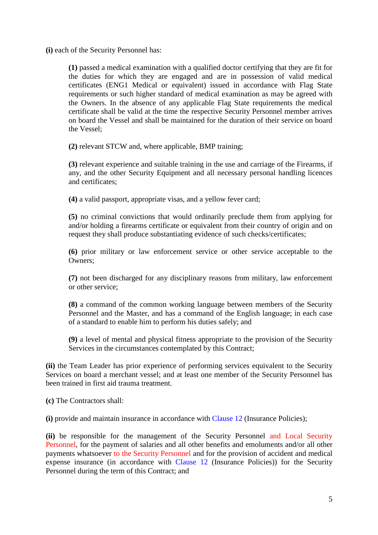**(i)** each of the Security Personnel has:

**(1)** passed a medical examination with a qualified doctor certifying that they are fit for the duties for which they are engaged and are in possession of valid medical certificates (ENG1 Medical or equivalent) issued in accordance with Flag State requirements or such higher standard of medical examination as may be agreed with the Owners. In the absence of any applicable Flag State requirements the medical certificate shall be valid at the time the respective Security Personnel member arrives on board the Vessel and shall be maintained for the duration of their service on board the Vessel;

**(2)** relevant STCW and, where applicable, BMP training;

**(3)** relevant experience and suitable training in the use and carriage of the Firearms, if any, and the other Security Equipment and all necessary personal handling licences and certificates;

**(4)** a valid passport, appropriate visas, and a yellow fever card;

**(5)** no criminal convictions that would ordinarily preclude them from applying for and/or holding a firearms certificate or equivalent from their country of origin and on request they shall produce substantiating evidence of such checks/certificates;

**(6)** prior military or law enforcement service or other service acceptable to the Owners;

**(7)** not been discharged for any disciplinary reasons from military, law enforcement or other service;

**(8)** a command of the common working language between members of the Security Personnel and the Master, and has a command of the English language; in each case of a standard to enable him to perform his duties safely; and

**(9)** a level of mental and physical fitness appropriate to the provision of the Security Services in the circumstances contemplated by this Contract;

**(ii)** the Team Leader has prior experience of performing services equivalent to the Security Services on board a merchant vessel; and at least one member of the Security Personnel has been trained in first aid trauma treatment.

**(c)** The Contractors shall:

**(i)** provide and maintain insurance in accordance with Clause 12 (Insurance Policies);

**(ii)** be responsible for the management of the Security Personnel and Local Security Personnel, for the payment of salaries and all other benefits and emoluments and/or all other payments whatsoever to the Security Personnel and for the provision of accident and medical expense insurance (in accordance with Clause 12 (Insurance Policies)) for the Security Personnel during the term of this Contract; and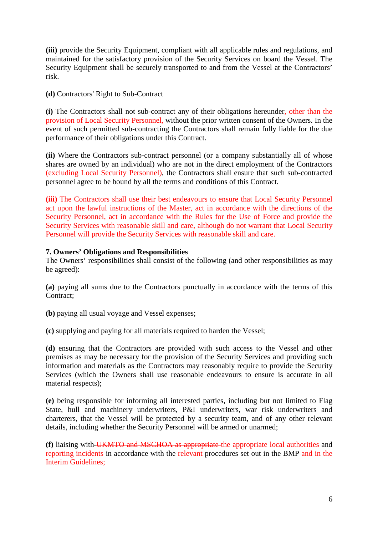**(iii)** provide the Security Equipment, compliant with all applicable rules and regulations, and maintained for the satisfactory provision of the Security Services on board the Vessel. The Security Equipment shall be securely transported to and from the Vessel at the Contractors' risk.

**(d)** Contractors' Right to Sub-Contract

**(i)** The Contractors shall not sub-contract any of their obligations hereunder, other than the provision of Local Security Personnel, without the prior written consent of the Owners. In the event of such permitted sub-contracting the Contractors shall remain fully liable for the due performance of their obligations under this Contract.

**(ii)** Where the Contractors sub-contract personnel (or a company substantially all of whose shares are owned by an individual) who are not in the direct employment of the Contractors (excluding Local Security Personnel), the Contractors shall ensure that such sub-contracted personnel agree to be bound by all the terms and conditions of this Contract.

**(iii)** The Contractors shall use their best endeavours to ensure that Local Security Personnel act upon the lawful instructions of the Master, act in accordance with the directions of the Security Personnel, act in accordance with the Rules for the Use of Force and provide the Security Services with reasonable skill and care, although do not warrant that Local Security Personnel will provide the Security Services with reasonable skill and care.

### **7. Owners' Obligations and Responsibilities**

The Owners' responsibilities shall consist of the following (and other responsibilities as may be agreed):

**(a)** paying all sums due to the Contractors punctually in accordance with the terms of this Contract;

**(b)** paying all usual voyage and Vessel expenses;

**(c)** supplying and paying for all materials required to harden the Vessel;

**(d)** ensuring that the Contractors are provided with such access to the Vessel and other premises as may be necessary for the provision of the Security Services and providing such information and materials as the Contractors may reasonably require to provide the Security Services (which the Owners shall use reasonable endeavours to ensure is accurate in all material respects);

**(e)** being responsible for informing all interested parties, including but not limited to Flag State, hull and machinery underwriters, P&I underwriters, war risk underwriters and charterers, that the Vessel will be protected by a security team, and of any other relevant details, including whether the Security Personnel will be armed or unarmed;

**(f)** liaising with UKMTO and MSCHOA as appropriate the appropriate local authorities and reporting incidents in accordance with the relevant procedures set out in the BMP and in the Interim Guidelines;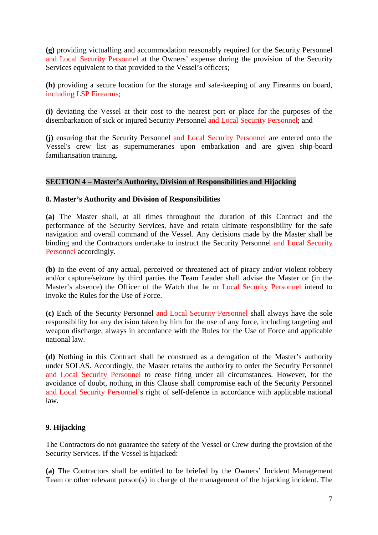**(g)** providing victualling and accommodation reasonably required for the Security Personnel and Local Security Personnel at the Owners' expense during the provision of the Security Services equivalent to that provided to the Vessel's officers;

**(h)** providing a secure location for the storage and safe-keeping of any Firearms on board, including LSP Firearms;

**(i)** deviating the Vessel at their cost to the nearest port or place for the purposes of the disembarkation of sick or injured Security Personnel and Local Security Personnel; and

**(j)** ensuring that the Security Personnel and Local Security Personnel are entered onto the Vessel's crew list as supernumeraries upon embarkation and are given ship-board familiarisation training.

### **SECTION 4 – Master's Authority, Division of Responsibilities and Hijacking**

### **8. Master's Authority and Division of Responsibilities**

**(a)** The Master shall, at all times throughout the duration of this Contract and the performance of the Security Services, have and retain ultimate responsibility for the safe navigation and overall command of the Vessel. Any decisions made by the Master shall be binding and the Contractors undertake to instruct the Security Personnel and Local Security Personnel accordingly.

**(b)** In the event of any actual, perceived or threatened act of piracy and/or violent robbery and/or capture/seizure by third parties the Team Leader shall advise the Master or (in the Master's absence) the Officer of the Watch that he or Local Security Personnel intend to invoke the Rules for the Use of Force.

**(c)** Each of the Security Personnel and Local Security Personnel shall always have the sole responsibility for any decision taken by him for the use of any force, including targeting and weapon discharge, always in accordance with the Rules for the Use of Force and applicable national law.

**(d)** Nothing in this Contract shall be construed as a derogation of the Master's authority under SOLAS. Accordingly, the Master retains the authority to order the Security Personnel and Local Security Personnel to cease firing under all circumstances. However, for the avoidance of doubt, nothing in this Clause shall compromise each of the Security Personnel and Local Security Personnel's right of self-defence in accordance with applicable national law.

## **9. Hijacking**

The Contractors do not guarantee the safety of the Vessel or Crew during the provision of the Security Services. If the Vessel is hijacked:

**(a)** The Contractors shall be entitled to be briefed by the Owners' Incident Management Team or other relevant person(s) in charge of the management of the hijacking incident. The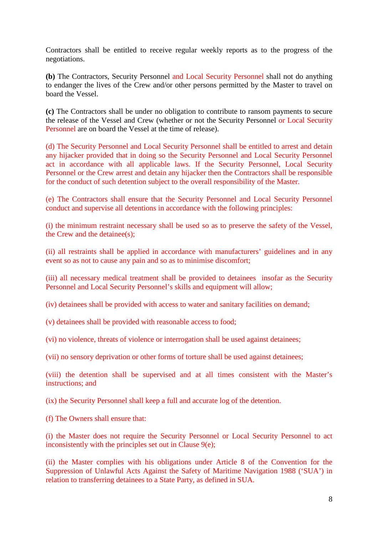Contractors shall be entitled to receive regular weekly reports as to the progress of the negotiations.

**(b)** The Contractors, Security Personnel and Local Security Personnel shall not do anything to endanger the lives of the Crew and/or other persons permitted by the Master to travel on board the Vessel.

**(c)** The Contractors shall be under no obligation to contribute to ransom payments to secure the release of the Vessel and Crew (whether or not the Security Personnel or Local Security Personnel are on board the Vessel at the time of release).

(d) The Security Personnel and Local Security Personnel shall be entitled to arrest and detain any hijacker provided that in doing so the Security Personnel and Local Security Personnel act in accordance with all applicable laws. If the Security Personnel, Local Security Personnel or the Crew arrest and detain any hijacker then the Contractors shall be responsible for the conduct of such detention subject to the overall responsibility of the Master.

(e) The Contractors shall ensure that the Security Personnel and Local Security Personnel conduct and supervise all detentions in accordance with the following principles:

(i) the minimum restraint necessary shall be used so as to preserve the safety of the Vessel, the Crew and the detainee(s);

(ii) all restraints shall be applied in accordance with manufacturers' guidelines and in any event so as not to cause any pain and so as to minimise discomfort;

(iii) all necessary medical treatment shall be provided to detainees insofar as the Security Personnel and Local Security Personnel's skills and equipment will allow;

(iv) detainees shall be provided with access to water and sanitary facilities on demand;

(v) detainees shall be provided with reasonable access to food;

(vi) no violence, threats of violence or interrogation shall be used against detainees;

(vii) no sensory deprivation or other forms of torture shall be used against detainees;

(viii) the detention shall be supervised and at all times consistent with the Master's instructions; and

(ix) the Security Personnel shall keep a full and accurate log of the detention.

(f) The Owners shall ensure that:

(i) the Master does not require the Security Personnel or Local Security Personnel to act inconsistently with the principles set out in Clause 9(e);

(ii) the Master complies with his obligations under Article 8 of the Convention for the Suppression of Unlawful Acts Against the Safety of Maritime Navigation 1988 ('SUA') in relation to transferring detainees to a State Party, as defined in SUA.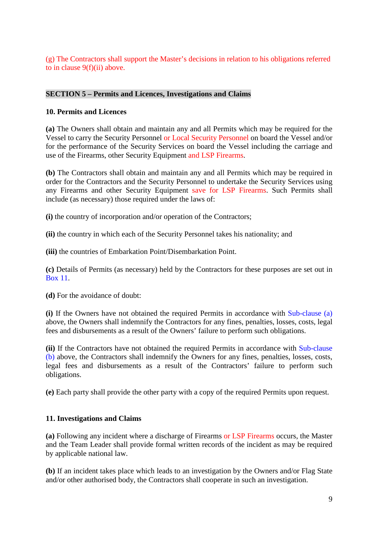(g) The Contractors shall support the Master's decisions in relation to his obligations referred to in clause 9(f)(ii) above.

### **SECTION 5 – Permits and Licences, Investigations and Claims**

### **10. Permits and Licences**

**(a)** The Owners shall obtain and maintain any and all Permits which may be required for the Vessel to carry the Security Personnel or Local Security Personnel on board the Vessel and/or for the performance of the Security Services on board the Vessel including the carriage and use of the Firearms, other Security Equipment and LSP Firearms.

**(b)** The Contractors shall obtain and maintain any and all Permits which may be required in order for the Contractors and the Security Personnel to undertake the Security Services using any Firearms and other Security Equipment save for LSP Firearms. Such Permits shall include (as necessary) those required under the laws of:

**(i)** the country of incorporation and/or operation of the Contractors;

**(ii)** the country in which each of the Security Personnel takes his nationality; and

**(iii)** the countries of Embarkation Point/Disembarkation Point.

**(c)** Details of Permits (as necessary) held by the Contractors for these purposes are set out in Box 11.

**(d)** For the avoidance of doubt:

**(i)** If the Owners have not obtained the required Permits in accordance with Sub-clause (a) above, the Owners shall indemnify the Contractors for any fines, penalties, losses, costs, legal fees and disbursements as a result of the Owners' failure to perform such obligations.

**(ii)** If the Contractors have not obtained the required Permits in accordance with Sub-clause (b) above, the Contractors shall indemnify the Owners for any fines, penalties, losses, costs, legal fees and disbursements as a result of the Contractors' failure to perform such obligations.

**(e)** Each party shall provide the other party with a copy of the required Permits upon request.

## **11. Investigations and Claims**

**(a)** Following any incident where a discharge of Firearms or LSP Firearms occurs, the Master and the Team Leader shall provide formal written records of the incident as may be required by applicable national law.

**(b)** If an incident takes place which leads to an investigation by the Owners and/or Flag State and/or other authorised body, the Contractors shall cooperate in such an investigation.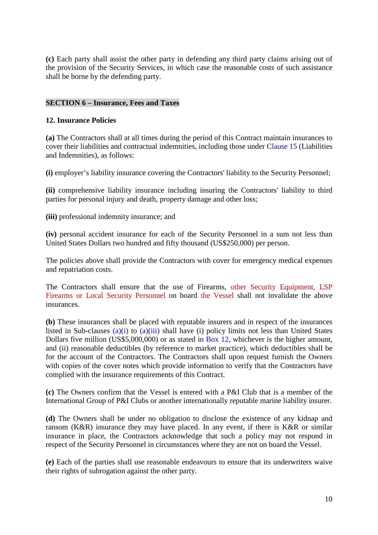**(c)** Each party shall assist the other party in defending any third party claims arising out of the provision of the Security Services, in which case the reasonable costs of such assistance shall be borne by the defending party.

### **SECTION 6 – Insurance, Fees and Taxes**

### **12. Insurance Policies**

**(a)** The Contractors shall at all times during the period of this Contract maintain insurances to cover their liabilities and contractual indemnities, including those under Clause 15 (Liabilities and Indemnities), as follows:

**(i)** employer's liability insurance covering the Contractors' liability to the Security Personnel;

**(ii)** comprehensive liability insurance including insuring the Contractors' liability to third parties for personal injury and death, property damage and other loss;

**(iii)** professional indemnity insurance; and

**(iv)** personal accident insurance for each of the Security Personnel in a sum not less than United States Dollars two hundred and fifty thousand (US\$250,000) per person.

The policies above shall provide the Contractors with cover for emergency medical expenses and repatriation costs.

The Contractors shall ensure that the use of Firearms, other Security Equipment, LSP Firearms or Local Security Personnel on board the Vessel shall not invalidate the above insurances.

**(b)** These insurances shall be placed with reputable insurers and in respect of the insurances listed in Sub-clauses  $(a)(i)$  to  $(a)(iii)$  shall have (i) policy limits not less than United States Dollars five million (US\$5,000,000) or as stated in Box 12, whichever is the higher amount, and (ii) reasonable deductibles (by reference to market practice), which deductibles shall be for the account of the Contractors. The Contractors shall upon request furnish the Owners with copies of the cover notes which provide information to verify that the Contractors have complied with the insurance requirements of this Contract.

**(c)** The Owners confirm that the Vessel is entered with a P&I Club that is a member of the International Group of P&I Clubs or another internationally reputable marine liability insurer.

**(d)** The Owners shall be under no obligation to disclose the existence of any kidnap and ransom (K&R) insurance they may have placed. In any event, if there is K&R or similar insurance in place, the Contractors acknowledge that such a policy may not respond in respect of the Security Personnel in circumstances where they are not on board the Vessel.

**(e)** Each of the parties shall use reasonable endeavours to ensure that its underwriters waive their rights of subrogation against the other party.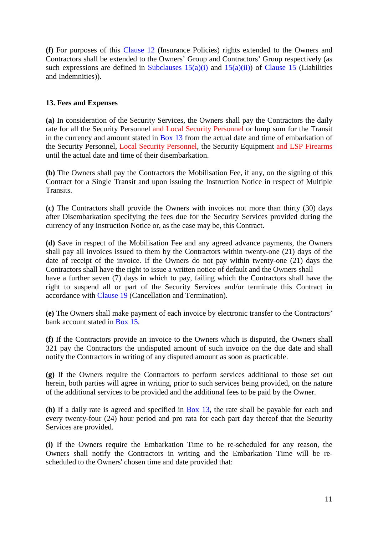**(f)** For purposes of this Clause 12 (Insurance Policies) rights extended to the Owners and Contractors shall be extended to the Owners' Group and Contractors' Group respectively (as such expressions are defined in Subclauses  $15(a)(i)$  and  $15(a)(ii)$  of Clause 15 (Liabilities and Indemnities)).

### **13. Fees and Expenses**

**(a)** In consideration of the Security Services, the Owners shall pay the Contractors the daily rate for all the Security Personnel and Local Security Personnel or lump sum for the Transit in the currency and amount stated in Box 13 from the actual date and time of embarkation of the Security Personnel, Local Security Personnel, the Security Equipment and LSP Firearms until the actual date and time of their disembarkation.

**(b)** The Owners shall pay the Contractors the Mobilisation Fee, if any, on the signing of this Contract for a Single Transit and upon issuing the Instruction Notice in respect of Multiple Transits.

**(c)** The Contractors shall provide the Owners with invoices not more than thirty (30) days after Disembarkation specifying the fees due for the Security Services provided during the currency of any Instruction Notice or, as the case may be, this Contract.

**(d)** Save in respect of the Mobilisation Fee and any agreed advance payments, the Owners shall pay all invoices issued to them by the Contractors within twenty-one (21) days of the date of receipt of the invoice. If the Owners do not pay within twenty-one (21) days the Contractors shall have the right to issue a written notice of default and the Owners shall have a further seven (7) days in which to pay, failing which the Contractors shall have the right to suspend all or part of the Security Services and/or terminate this Contract in accordance with Clause 19 (Cancellation and Termination).

**(e)** The Owners shall make payment of each invoice by electronic transfer to the Contractors' bank account stated in Box 15.

**(f)** If the Contractors provide an invoice to the Owners which is disputed, the Owners shall 321 pay the Contractors the undisputed amount of such invoice on the due date and shall notify the Contractors in writing of any disputed amount as soon as practicable.

**(g)** If the Owners require the Contractors to perform services additional to those set out herein, both parties will agree in writing, prior to such services being provided, on the nature of the additional services to be provided and the additional fees to be paid by the Owner.

**(h)** If a daily rate is agreed and specified in Box 13, the rate shall be payable for each and every twenty-four (24) hour period and pro rata for each part day thereof that the Security Services are provided.

**(i)** If the Owners require the Embarkation Time to be re-scheduled for any reason, the Owners shall notify the Contractors in writing and the Embarkation Time will be rescheduled to the Owners' chosen time and date provided that: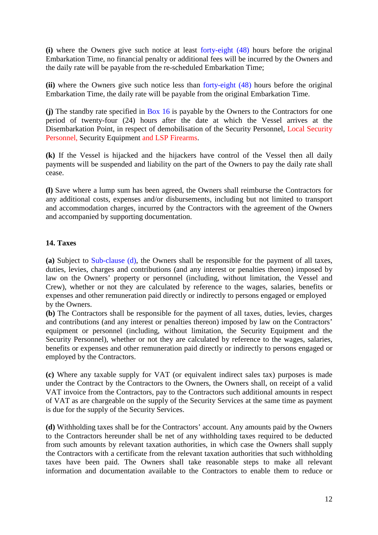**(i)** where the Owners give such notice at least forty-eight (48) hours before the original Embarkation Time, no financial penalty or additional fees will be incurred by the Owners and the daily rate will be payable from the re-scheduled Embarkation Time;

**(ii)** where the Owners give such notice less than forty-eight (48) hours before the original Embarkation Time, the daily rate will be payable from the original Embarkation Time.

**(j)** The standby rate specified in Box 16 is payable by the Owners to the Contractors for one period of twenty-four (24) hours after the date at which the Vessel arrives at the Disembarkation Point, in respect of demobilisation of the Security Personnel, Local Security Personnel, Security Equipment and LSP Firearms.

**(k)** If the Vessel is hijacked and the hijackers have control of the Vessel then all daily payments will be suspended and liability on the part of the Owners to pay the daily rate shall cease.

**(l)** Save where a lump sum has been agreed, the Owners shall reimburse the Contractors for any additional costs, expenses and/or disbursements, including but not limited to transport and accommodation charges, incurred by the Contractors with the agreement of the Owners and accompanied by supporting documentation.

## **14. Taxes**

**(a)** Subject to Sub-clause (d), the Owners shall be responsible for the payment of all taxes, duties, levies, charges and contributions (and any interest or penalties thereon) imposed by law on the Owners' property or personnel (including, without limitation, the Vessel and Crew), whether or not they are calculated by reference to the wages, salaries, benefits or expenses and other remuneration paid directly or indirectly to persons engaged or employed by the Owners.

**(b)** The Contractors shall be responsible for the payment of all taxes, duties, levies, charges and contributions (and any interest or penalties thereon) imposed by law on the Contractors' equipment or personnel (including, without limitation, the Security Equipment and the Security Personnel), whether or not they are calculated by reference to the wages, salaries, benefits or expenses and other remuneration paid directly or indirectly to persons engaged or employed by the Contractors.

**(c)** Where any taxable supply for VAT (or equivalent indirect sales tax) purposes is made under the Contract by the Contractors to the Owners, the Owners shall, on receipt of a valid VAT invoice from the Contractors, pay to the Contractors such additional amounts in respect of VAT as are chargeable on the supply of the Security Services at the same time as payment is due for the supply of the Security Services.

**(d)** Withholding taxes shall be for the Contractors' account. Any amounts paid by the Owners to the Contractors hereunder shall be net of any withholding taxes required to be deducted from such amounts by relevant taxation authorities, in which case the Owners shall supply the Contractors with a certificate from the relevant taxation authorities that such withholding taxes have been paid. The Owners shall take reasonable steps to make all relevant information and documentation available to the Contractors to enable them to reduce or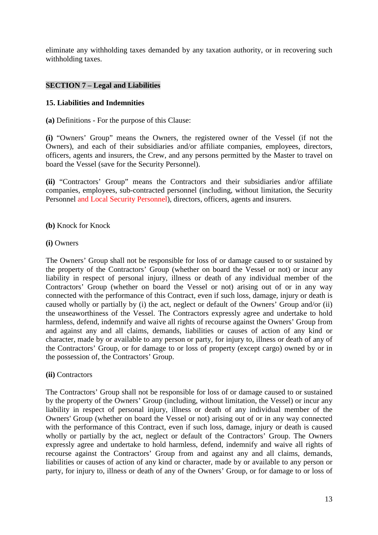eliminate any withholding taxes demanded by any taxation authority, or in recovering such withholding taxes.

# **SECTION 7 – Legal and Liabilities**

### **15. Liabilities and Indemnities**

**(a)** Definitions - For the purpose of this Clause:

**(i)** "Owners' Group" means the Owners, the registered owner of the Vessel (if not the Owners), and each of their subsidiaries and/or affiliate companies, employees, directors, officers, agents and insurers, the Crew, and any persons permitted by the Master to travel on board the Vessel (save for the Security Personnel).

**(ii)** "Contractors' Group" means the Contractors and their subsidiaries and/or affiliate companies, employees, sub-contracted personnel (including, without limitation, the Security Personnel and Local Security Personnel), directors, officers, agents and insurers.

### **(b)** Knock for Knock

### **(i)** Owners

The Owners' Group shall not be responsible for loss of or damage caused to or sustained by the property of the Contractors' Group (whether on board the Vessel or not) or incur any liability in respect of personal injury, illness or death of any individual member of the Contractors' Group (whether on board the Vessel or not) arising out of or in any way connected with the performance of this Contract, even if such loss, damage, injury or death is caused wholly or partially by (i) the act, neglect or default of the Owners' Group and/or (ii) the unseaworthiness of the Vessel. The Contractors expressly agree and undertake to hold harmless, defend, indemnify and waive all rights of recourse against the Owners' Group from and against any and all claims, demands, liabilities or causes of action of any kind or character, made by or available to any person or party, for injury to, illness or death of any of the Contractors' Group, or for damage to or loss of property (except cargo) owned by or in the possession of, the Contractors' Group.

### **(ii)** Contractors

The Contractors' Group shall not be responsible for loss of or damage caused to or sustained by the property of the Owners' Group (including, without limitation, the Vessel) or incur any liability in respect of personal injury, illness or death of any individual member of the Owners' Group (whether on board the Vessel or not) arising out of or in any way connected with the performance of this Contract, even if such loss, damage, injury or death is caused wholly or partially by the act, neglect or default of the Contractors' Group. The Owners expressly agree and undertake to hold harmless, defend, indemnify and waive all rights of recourse against the Contractors' Group from and against any and all claims, demands, liabilities or causes of action of any kind or character, made by or available to any person or party, for injury to, illness or death of any of the Owners' Group, or for damage to or loss of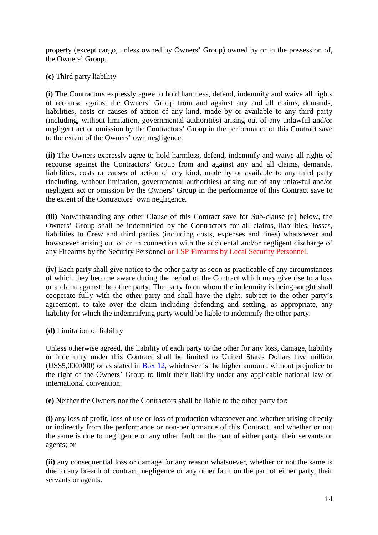property (except cargo, unless owned by Owners' Group) owned by or in the possession of, the Owners' Group.

**(c)** Third party liability

**(i)** The Contractors expressly agree to hold harmless, defend, indemnify and waive all rights of recourse against the Owners' Group from and against any and all claims, demands, liabilities, costs or causes of action of any kind, made by or available to any third party (including, without limitation, governmental authorities) arising out of any unlawful and/or negligent act or omission by the Contractors' Group in the performance of this Contract save to the extent of the Owners' own negligence.

**(ii)** The Owners expressly agree to hold harmless, defend, indemnify and waive all rights of recourse against the Contractors' Group from and against any and all claims, demands, liabilities, costs or causes of action of any kind, made by or available to any third party (including, without limitation, governmental authorities) arising out of any unlawful and/or negligent act or omission by the Owners' Group in the performance of this Contract save to the extent of the Contractors' own negligence.

**(iii)** Notwithstanding any other Clause of this Contract save for Sub-clause (d) below, the Owners' Group shall be indemnified by the Contractors for all claims, liabilities, losses, liabilities to Crew and third parties (including costs, expenses and fines) whatsoever and howsoever arising out of or in connection with the accidental and/or negligent discharge of any Firearms by the Security Personnel or LSP Firearms by Local Security Personnel.

**(iv)** Each party shall give notice to the other party as soon as practicable of any circumstances of which they become aware during the period of the Contract which may give rise to a loss or a claim against the other party. The party from whom the indemnity is being sought shall cooperate fully with the other party and shall have the right, subject to the other party's agreement, to take over the claim including defending and settling, as appropriate, any liability for which the indemnifying party would be liable to indemnify the other party.

**(d)** Limitation of liability

Unless otherwise agreed, the liability of each party to the other for any loss, damage, liability or indemnity under this Contract shall be limited to United States Dollars five million (US\$5,000,000) or as stated in Box 12, whichever is the higher amount, without prejudice to the right of the Owners' Group to limit their liability under any applicable national law or international convention.

**(e)** Neither the Owners nor the Contractors shall be liable to the other party for:

**(i)** any loss of profit, loss of use or loss of production whatsoever and whether arising directly or indirectly from the performance or non-performance of this Contract, and whether or not the same is due to negligence or any other fault on the part of either party, their servants or agents; or

**(ii)** any consequential loss or damage for any reason whatsoever, whether or not the same is due to any breach of contract, negligence or any other fault on the part of either party, their servants or agents.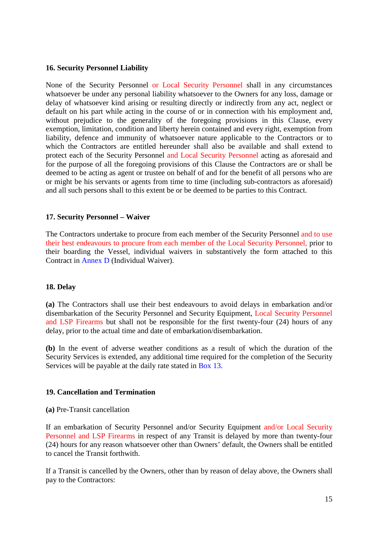### **16. Security Personnel Liability**

None of the Security Personnel or Local Security Personnel shall in any circumstances whatsoever be under any personal liability whatsoever to the Owners for any loss, damage or delay of whatsoever kind arising or resulting directly or indirectly from any act, neglect or default on his part while acting in the course of or in connection with his employment and, without prejudice to the generality of the foregoing provisions in this Clause, every exemption, limitation, condition and liberty herein contained and every right, exemption from liability, defence and immunity of whatsoever nature applicable to the Contractors or to which the Contractors are entitled hereunder shall also be available and shall extend to protect each of the Security Personnel and Local Security Personnel acting as aforesaid and for the purpose of all the foregoing provisions of this Clause the Contractors are or shall be deemed to be acting as agent or trustee on behalf of and for the benefit of all persons who are or might be his servants or agents from time to time (including sub-contractors as aforesaid) and all such persons shall to this extent be or be deemed to be parties to this Contract.

### **17. Security Personnel – Waiver**

The Contractors undertake to procure from each member of the Security Personnel and to use their best endeavours to procure from each member of the Local Security Personnel, prior to their boarding the Vessel, individual waivers in substantively the form attached to this Contract in Annex D (Individual Waiver).

### **18. Delay**

**(a)** The Contractors shall use their best endeavours to avoid delays in embarkation and/or disembarkation of the Security Personnel and Security Equipment, Local Security Personnel and LSP Firearms but shall not be responsible for the first twenty-four (24) hours of any delay, prior to the actual time and date of embarkation/disembarkation.

**(b)** In the event of adverse weather conditions as a result of which the duration of the Security Services is extended, any additional time required for the completion of the Security Services will be payable at the daily rate stated in Box 13.

### **19. Cancellation and Termination**

### **(a)** Pre-Transit cancellation

If an embarkation of Security Personnel and/or Security Equipment and/or Local Security Personnel and LSP Firearms in respect of any Transit is delayed by more than twenty-four (24) hours for any reason whatsoever other than Owners' default, the Owners shall be entitled to cancel the Transit forthwith.

If a Transit is cancelled by the Owners, other than by reason of delay above, the Owners shall pay to the Contractors: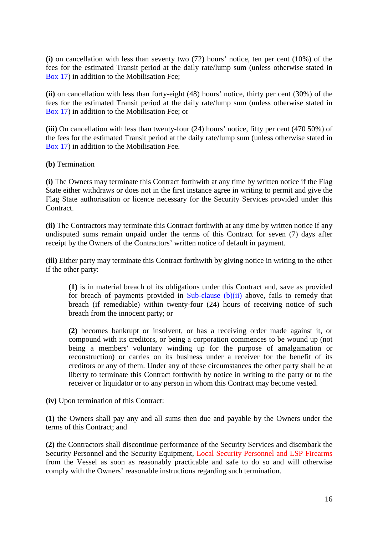**(i)** on cancellation with less than seventy two (72) hours' notice, ten per cent (10%) of the fees for the estimated Transit period at the daily rate/lump sum (unless otherwise stated in Box 17) in addition to the Mobilisation Fee;

**(ii)** on cancellation with less than forty-eight (48) hours' notice, thirty per cent (30%) of the fees for the estimated Transit period at the daily rate/lump sum (unless otherwise stated in Box 17) in addition to the Mobilisation Fee; or

**(iii)** On cancellation with less than twenty-four (24) hours' notice, fifty per cent (470 50%) of the fees for the estimated Transit period at the daily rate/lump sum (unless otherwise stated in Box 17) in addition to the Mobilisation Fee.

### **(b)** Termination

**(i)** The Owners may terminate this Contract forthwith at any time by written notice if the Flag State either withdraws or does not in the first instance agree in writing to permit and give the Flag State authorisation or licence necessary for the Security Services provided under this Contract.

**(ii)** The Contractors may terminate this Contract forthwith at any time by written notice if any undisputed sums remain unpaid under the terms of this Contract for seven (7) days after receipt by the Owners of the Contractors' written notice of default in payment.

**(iii)** Either party may terminate this Contract forthwith by giving notice in writing to the other if the other party:

**(1)** is in material breach of its obligations under this Contract and, save as provided for breach of payments provided in Sub-clause  $(b)(ii)$  above, fails to remedy that breach (if remediable) within twenty-four (24) hours of receiving notice of such breach from the innocent party; or

**(2)** becomes bankrupt or insolvent, or has a receiving order made against it, or compound with its creditors, or being a corporation commences to be wound up (not being a members' voluntary winding up for the purpose of amalgamation or reconstruction) or carries on its business under a receiver for the benefit of its creditors or any of them. Under any of these circumstances the other party shall be at liberty to terminate this Contract forthwith by notice in writing to the party or to the receiver or liquidator or to any person in whom this Contract may become vested.

**(iv)** Upon termination of this Contract:

**(1)** the Owners shall pay any and all sums then due and payable by the Owners under the terms of this Contract; and

**(2)** the Contractors shall discontinue performance of the Security Services and disembark the Security Personnel and the Security Equipment, Local Security Personnel and LSP Firearms from the Vessel as soon as reasonably practicable and safe to do so and will otherwise comply with the Owners' reasonable instructions regarding such termination.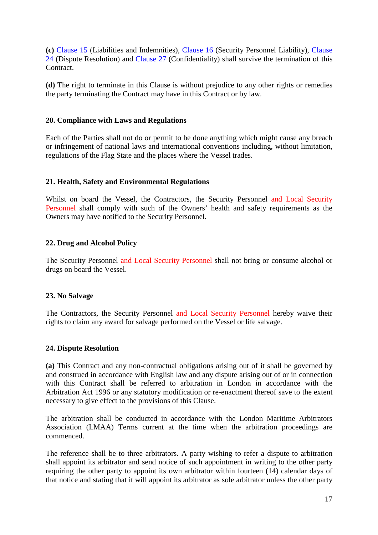**(c)** Clause 15 (Liabilities and Indemnities), Clause 16 (Security Personnel Liability), Clause 24 (Dispute Resolution) and Clause 27 (Confidentiality) shall survive the termination of this Contract.

**(d)** The right to terminate in this Clause is without prejudice to any other rights or remedies the party terminating the Contract may have in this Contract or by law.

### **20. Compliance with Laws and Regulations**

Each of the Parties shall not do or permit to be done anything which might cause any breach or infringement of national laws and international conventions including, without limitation, regulations of the Flag State and the places where the Vessel trades.

## **21. Health, Safety and Environmental Regulations**

Whilst on board the Vessel, the Contractors, the Security Personnel and Local Security Personnel shall comply with such of the Owners' health and safety requirements as the Owners may have notified to the Security Personnel.

# **22. Drug and Alcohol Policy**

The Security Personnel and Local Security Personnel shall not bring or consume alcohol or drugs on board the Vessel.

## **23. No Salvage**

The Contractors, the Security Personnel and Local Security Personnel hereby waive their rights to claim any award for salvage performed on the Vessel or life salvage.

## **24. Dispute Resolution**

**(a)** This Contract and any non-contractual obligations arising out of it shall be governed by and construed in accordance with English law and any dispute arising out of or in connection with this Contract shall be referred to arbitration in London in accordance with the Arbitration Act 1996 or any statutory modification or re-enactment thereof save to the extent necessary to give effect to the provisions of this Clause.

The arbitration shall be conducted in accordance with the London Maritime Arbitrators Association (LMAA) Terms current at the time when the arbitration proceedings are commenced.

The reference shall be to three arbitrators. A party wishing to refer a dispute to arbitration shall appoint its arbitrator and send notice of such appointment in writing to the other party requiring the other party to appoint its own arbitrator within fourteen (14) calendar days of that notice and stating that it will appoint its arbitrator as sole arbitrator unless the other party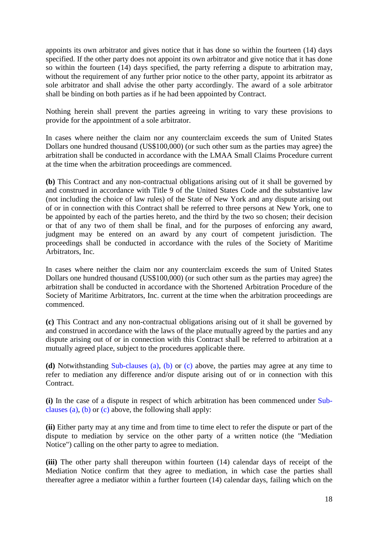appoints its own arbitrator and gives notice that it has done so within the fourteen (14) days specified. If the other party does not appoint its own arbitrator and give notice that it has done so within the fourteen (14) days specified, the party referring a dispute to arbitration may, without the requirement of any further prior notice to the other party, appoint its arbitrator as sole arbitrator and shall advise the other party accordingly. The award of a sole arbitrator shall be binding on both parties as if he had been appointed by Contract.

Nothing herein shall prevent the parties agreeing in writing to vary these provisions to provide for the appointment of a sole arbitrator.

In cases where neither the claim nor any counterclaim exceeds the sum of United States Dollars one hundred thousand (US\$100,000) (or such other sum as the parties may agree) the arbitration shall be conducted in accordance with the LMAA Small Claims Procedure current at the time when the arbitration proceedings are commenced.

**(b)** This Contract and any non-contractual obligations arising out of it shall be governed by and construed in accordance with Title 9 of the United States Code and the substantive law (not including the choice of law rules) of the State of New York and any dispute arising out of or in connection with this Contract shall be referred to three persons at New York, one to be appointed by each of the parties hereto, and the third by the two so chosen; their decision or that of any two of them shall be final, and for the purposes of enforcing any award, judgment may be entered on an award by any court of competent jurisdiction. The proceedings shall be conducted in accordance with the rules of the Society of Maritime Arbitrators, Inc.

In cases where neither the claim nor any counterclaim exceeds the sum of United States Dollars one hundred thousand (US\$100,000) (or such other sum as the parties may agree) the arbitration shall be conducted in accordance with the Shortened Arbitration Procedure of the Society of Maritime Arbitrators, Inc. current at the time when the arbitration proceedings are commenced.

**(c)** This Contract and any non-contractual obligations arising out of it shall be governed by and construed in accordance with the laws of the place mutually agreed by the parties and any dispute arising out of or in connection with this Contract shall be referred to arbitration at a mutually agreed place, subject to the procedures applicable there.

**(d)** Notwithstanding Sub-clauses (a), (b) or (c) above, the parties may agree at any time to refer to mediation any difference and/or dispute arising out of or in connection with this Contract.

**(i)** In the case of a dispute in respect of which arbitration has been commenced under Subclauses (a), (b) or (c) above, the following shall apply:

**(ii)** Either party may at any time and from time to time elect to refer the dispute or part of the dispute to mediation by service on the other party of a written notice (the "Mediation Notice") calling on the other party to agree to mediation.

**(iii)** The other party shall thereupon within fourteen (14) calendar days of receipt of the Mediation Notice confirm that they agree to mediation, in which case the parties shall thereafter agree a mediator within a further fourteen (14) calendar days, failing which on the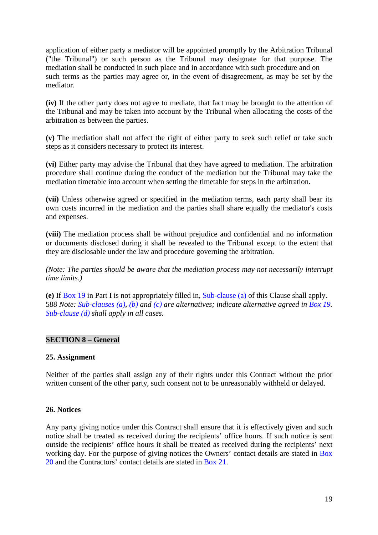application of either party a mediator will be appointed promptly by the Arbitration Tribunal ("the Tribunal") or such person as the Tribunal may designate for that purpose. The mediation shall be conducted in such place and in accordance with such procedure and on such terms as the parties may agree or, in the event of disagreement, as may be set by the mediator.

**(iv)** If the other party does not agree to mediate, that fact may be brought to the attention of the Tribunal and may be taken into account by the Tribunal when allocating the costs of the arbitration as between the parties.

**(v)** The mediation shall not affect the right of either party to seek such relief or take such steps as it considers necessary to protect its interest.

**(vi)** Either party may advise the Tribunal that they have agreed to mediation. The arbitration procedure shall continue during the conduct of the mediation but the Tribunal may take the mediation timetable into account when setting the timetable for steps in the arbitration.

**(vii)** Unless otherwise agreed or specified in the mediation terms, each party shall bear its own costs incurred in the mediation and the parties shall share equally the mediator's costs and expenses.

**(viii)** The mediation process shall be without prejudice and confidential and no information or documents disclosed during it shall be revealed to the Tribunal except to the extent that they are disclosable under the law and procedure governing the arbitration.

*(Note: The parties should be aware that the mediation process may not necessarily interrupt time limits.)* 

**(e)** If Box 19 in Part I is not appropriately filled in, Sub-clause (a) of this Clause shall apply. 588 *Note: Sub-clauses (a), (b) and (c) are alternatives; indicate alternative agreed in Box 19. Sub-clause (d) shall apply in all cases.* 

### **SECTION 8 – General**

### **25. Assignment**

Neither of the parties shall assign any of their rights under this Contract without the prior written consent of the other party, such consent not to be unreasonably withheld or delayed.

### **26. Notices**

Any party giving notice under this Contract shall ensure that it is effectively given and such notice shall be treated as received during the recipients' office hours. If such notice is sent outside the recipients' office hours it shall be treated as received during the recipients' next working day. For the purpose of giving notices the Owners' contact details are stated in Box 20 and the Contractors' contact details are stated in Box 21.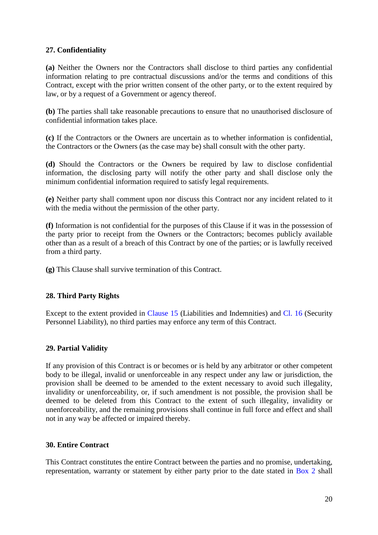## **27. Confidentiality**

**(a)** Neither the Owners nor the Contractors shall disclose to third parties any confidential information relating to pre contractual discussions and/or the terms and conditions of this Contract, except with the prior written consent of the other party, or to the extent required by law, or by a request of a Government or agency thereof.

**(b)** The parties shall take reasonable precautions to ensure that no unauthorised disclosure of confidential information takes place.

**(c)** If the Contractors or the Owners are uncertain as to whether information is confidential, the Contractors or the Owners (as the case may be) shall consult with the other party.

**(d)** Should the Contractors or the Owners be required by law to disclose confidential information, the disclosing party will notify the other party and shall disclose only the minimum confidential information required to satisfy legal requirements.

**(e)** Neither party shall comment upon nor discuss this Contract nor any incident related to it with the media without the permission of the other party.

**(f)** Information is not confidential for the purposes of this Clause if it was in the possession of the party prior to receipt from the Owners or the Contractors; becomes publicly available other than as a result of a breach of this Contract by one of the parties; or is lawfully received from a third party.

**(g)** This Clause shall survive termination of this Contract.

## **28. Third Party Rights**

Except to the extent provided in Clause 15 (Liabilities and Indemnities) and Cl. 16 (Security Personnel Liability), no third parties may enforce any term of this Contract.

## **29. Partial Validity**

If any provision of this Contract is or becomes or is held by any arbitrator or other competent body to be illegal, invalid or unenforceable in any respect under any law or jurisdiction, the provision shall be deemed to be amended to the extent necessary to avoid such illegality, invalidity or unenforceability, or, if such amendment is not possible, the provision shall be deemed to be deleted from this Contract to the extent of such illegality, invalidity or unenforceability, and the remaining provisions shall continue in full force and effect and shall not in any way be affected or impaired thereby.

### **30. Entire Contract**

This Contract constitutes the entire Contract between the parties and no promise, undertaking, representation, warranty or statement by either party prior to the date stated in Box 2 shall